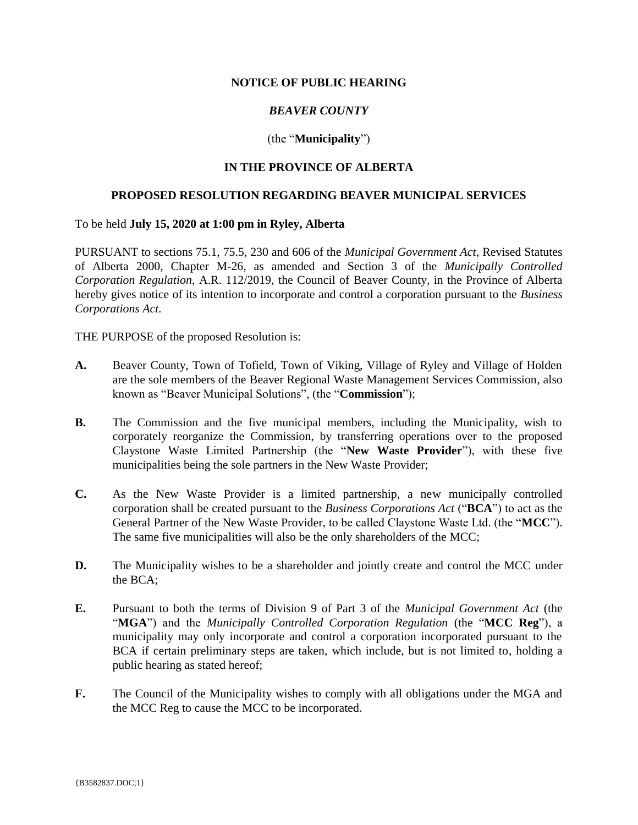### **NOTICE OF PUBLIC HEARING**

# *BEAVER COUNTY*

## (the "**Municipality**")

## **IN THE PROVINCE OF ALBERTA**

#### **PROPOSED RESOLUTION REGARDING BEAVER MUNICIPAL SERVICES**

To be held **July 15, 2020 at 1:00 pm in Ryley, Alberta**

PURSUANT to sections 75.1, 75.5, 230 and 606 of the *Municipal Government Act*, Revised Statutes of Alberta 2000, Chapter M-26, as amended and Section 3 of the *Municipally Controlled Corporation Regulation*, A.R. 112/2019, the Council of Beaver County, in the Province of Alberta hereby gives notice of its intention to incorporate and control a corporation pursuant to the *Business Corporations Act.*

THE PURPOSE of the proposed Resolution is:

- **A.** Beaver County, Town of Tofield, Town of Viking, Village of Ryley and Village of Holden are the sole members of the Beaver Regional Waste Management Services Commission, also known as "Beaver Municipal Solutions", (the "**Commission**");
- **B.** The Commission and the five municipal members, including the Municipality, wish to corporately reorganize the Commission, by transferring operations over to the proposed Claystone Waste Limited Partnership (the "**New Waste Provider**"), with these five municipalities being the sole partners in the New Waste Provider;
- **C.** As the New Waste Provider is a limited partnership, a new municipally controlled corporation shall be created pursuant to the *Business Corporations Act* ("**BCA**") to act as the General Partner of the New Waste Provider, to be called Claystone Waste Ltd. (the "**MCC**"). The same five municipalities will also be the only shareholders of the MCC;
- **D.** The Municipality wishes to be a shareholder and jointly create and control the MCC under the BCA;
- **E.** Pursuant to both the terms of Division 9 of Part 3 of the *Municipal Government Act* (the "**MGA**") and the *Municipally Controlled Corporation Regulation* (the "**MCC Reg**"), a municipality may only incorporate and control a corporation incorporated pursuant to the BCA if certain preliminary steps are taken, which include, but is not limited to, holding a public hearing as stated hereof;
- **F.** The Council of the Municipality wishes to comply with all obligations under the MGA and the MCC Reg to cause the MCC to be incorporated.